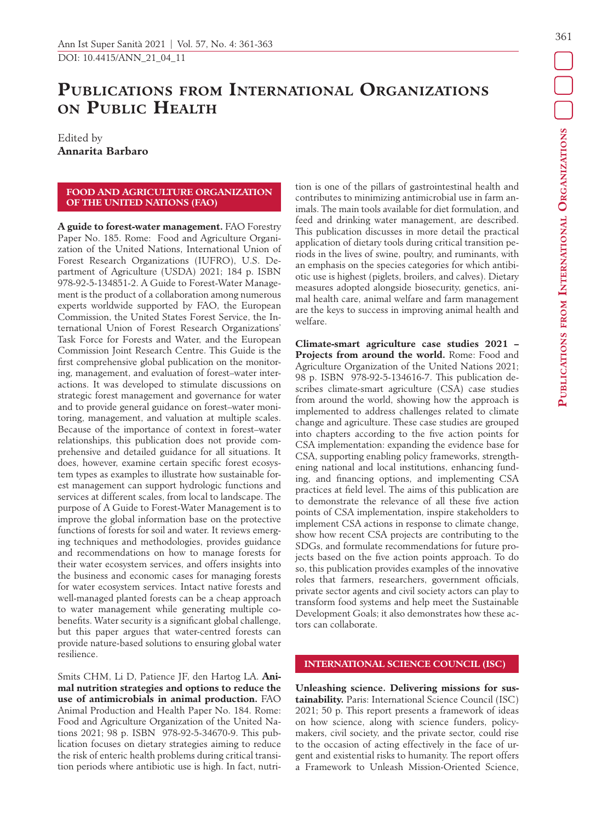# **Publications from International Organizations on Public Health**

Edited by **Annarita Barbaro**

### **FOOD AND AGRICULTURE ORGANIZATION OF THE UNITED NATIONS (FAO)**

**A guide to forest-water management.** FAO Forestry Paper No. 185. Rome: Food and Agriculture Organization of the United Nations, International Union of Forest Research Organizations (IUFRO), U.S. Department of Agriculture (USDA) 2021; 184 p. ISBN 978-92-5-134851-2. A Guide to Forest-Water Management is the product of a collaboration among numerous experts worldwide supported by FAO, the European Commission, the United States Forest Service, the International Union of Forest Research Organizations' Task Force for Forests and Water, and the European Commission Joint Research Centre. This Guide is the first comprehensive global publication on the monitoring, management, and evaluation of forest–water interactions. It was developed to stimulate discussions on strategic forest management and governance for water and to provide general guidance on forest–water monitoring, management, and valuation at multiple scales. Because of the importance of context in forest–water relationships, this publication does not provide comprehensive and detailed guidance for all situations. It does, however, examine certain specific forest ecosystem types as examples to illustrate how sustainable forest management can support hydrologic functions and services at different scales, from local to landscape. The purpose of A Guide to Forest-Water Management is to improve the global information base on the protective functions of forests for soil and water. It reviews emerging techniques and methodologies, provides guidance and recommendations on how to manage forests for their water ecosystem services, and offers insights into the business and economic cases for managing forests for water ecosystem services. Intact native forests and well-managed planted forests can be a cheap approach to water management while generating multiple cobenefits. Water security is a significant global challenge, but this paper argues that water-centred forests can provide nature-based solutions to ensuring global water resilience.

Smits CHM, Li D, Patience JF, den Hartog LA. **Animal nutrition strategies and options to reduce the use of antimicrobials in animal production.** FAO Animal Production and Health Paper No. 184. Rome: Food and Agriculture Organization of the United Nations 2021; 98 p. ISBN 978-92-5-34670-9. This publication focuses on dietary strategies aiming to reduce the risk of enteric health problems during critical transition periods where antibiotic use is high. In fact, nutrition is one of the pillars of gastrointestinal health and contributes to minimizing antimicrobial use in farm animals. The main tools available for diet formulation, and feed and drinking water management, are described. This publication discusses in more detail the practical application of dietary tools during critical transition periods in the lives of swine, poultry, and ruminants, with an emphasis on the species categories for which antibiotic use is highest (piglets, broilers, and calves). Dietary measures adopted alongside biosecurity, genetics, animal health care, animal welfare and farm management are the keys to success in improving animal health and welfare.

**Climate-smart agriculture case studies 2021 – Projects from around the world.** Rome: Food and Agriculture Organization of the United Nations 2021; 98 p. ISBN 978-92-5-134616-7. This publication describes climate-smart agriculture (CSA) case studies from around the world, showing how the approach is implemented to address challenges related to climate change and agriculture. These case studies are grouped into chapters according to the five action points for CSA implementation: expanding the evidence base for CSA, supporting enabling policy frameworks, strengthening national and local institutions, enhancing funding, and financing options, and implementing CSA practices at field level. The aims of this publication are to demonstrate the relevance of all these five action points of CSA implementation, inspire stakeholders to implement CSA actions in response to climate change, show how recent CSA projects are contributing to the SDGs, and formulate recommendations for future projects based on the five action points approach. To do so, this publication provides examples of the innovative roles that farmers, researchers, government officials, private sector agents and civil society actors can play to transform food systems and help meet the Sustainable Development Goals; it also demonstrates how these actors can collaborate.

## **INTERNATIONAL SCIENCE COUNCIL (ISC)**

**Unleashing science. Delivering missions for sustainability.** Paris: International Science Council (ISC) 2021; 50 p. This report presents a framework of ideas on how science, along with science funders, policymakers, civil society, and the private sector, could rise to the occasion of acting effectively in the face of urgent and existential risks to humanity. The report offers a Framework to Unleash Mission-Oriented Science,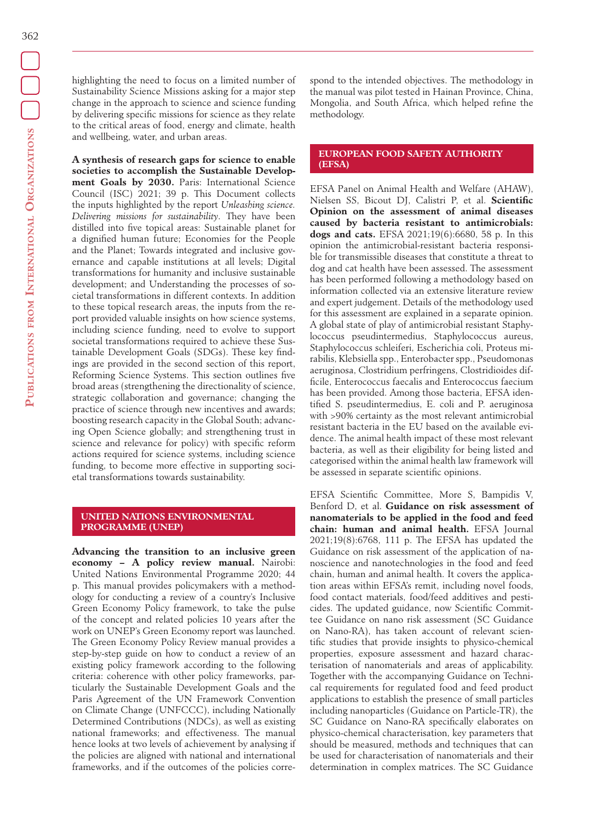highlighting the need to focus on a limited number of Sustainability Science Missions asking for a major step change in the approach to science and science funding by delivering specific missions for science as they relate to the critical areas of food, energy and climate, health and wellbeing, water, and urban areas.

**A synthesis of research gaps for science to enable societies to accomplish the Sustainable Development Goals by 2030.** Paris: International Science Council (ISC) 2021; 39 p. This Document collects the inputs highlighted by the report *Unleashing science. Delivering missions for sustainability*. They have been distilled into five topical areas: Sustainable planet for a dignified human future; Economies for the People and the Planet; Towards integrated and inclusive governance and capable institutions at all levels; Digital transformations for humanity and inclusive sustainable development; and Understanding the processes of societal transformations in different contexts. In addition to these topical research areas, the inputs from the report provided valuable insights on how science systems, including science funding, need to evolve to support societal transformations required to achieve these Sustainable Development Goals (SDGs). These key findings are provided in the second section of this report, Reforming Science Systems. This section outlines five broad areas (strengthening the directionality of science, strategic collaboration and governance; changing the practice of science through new incentives and awards; boosting research capacity in the Global South; advancing Open Science globally; and strengthening trust in science and relevance for policy) with specific reform actions required for science systems, including science funding, to become more effective in supporting societal transformations towards sustainability.

## **UNITED NATIONS ENVIRONMENTAL PROGRAMME (UNEP)**

**Advancing the transition to an inclusive green economy – A policy review manual.** Nairobi: United Nations Environmental Programme 2020; 44 p. This manual provides policymakers with a methodology for conducting a review of a country's Inclusive Green Economy Policy framework, to take the pulse of the concept and related policies 10 years after the work on UNEP's Green Economy report was launched. The Green Economy Policy Review manual provides a step-by-step guide on how to conduct a review of an existing policy framework according to the following criteria: coherence with other policy frameworks, particularly the Sustainable Development Goals and the Paris Agreement of the UN Framework Convention on Climate Change (UNFCCC), including Nationally Determined Contributions (NDCs), as well as existing national frameworks; and effectiveness. The manual hence looks at two levels of achievement by analysing if the policies are aligned with national and international frameworks, and if the outcomes of the policies correspond to the intended objectives. The methodology in the manual was pilot tested in Hainan Province, China, Mongolia, and South Africa, which helped refine the methodology.

### **EUROPEAN FOOD SAFETY AUTHORITY (EFSA)**

EFSA Panel on Animal Health and Welfare (AHAW), Nielsen SS, Bicout DJ, Calistri P, et al. **Scientific Opinion on the assessment of animal diseases caused by bacteria resistant to antimicrobials: dogs and cats.** EFSA 2021;19(6):6680, 58 p. In this opinion the antimicrobial-resistant bacteria responsible for transmissible diseases that constitute a threat to dog and cat health have been assessed. The assessment has been performed following a methodology based on information collected via an extensive literature review and expert judgement. Details of the methodology used for this assessment are explained in a separate opinion. A global state of play of antimicrobial resistant Staphylococcus pseudintermedius, Staphylococcus aureus, Staphylococcus schleiferi, Escherichia coli, Proteus mirabilis, Klebsiella spp., Enterobacter spp., Pseudomonas aeruginosa, Clostridium perfringens, Clostridioides difficile, Enterococcus faecalis and Enterococcus faecium has been provided. Among those bacteria, EFSA identified S. pseudintermedius, E. coli and P. aeruginosa with >90% certainty as the most relevant antimicrobial resistant bacteria in the EU based on the available evidence. The animal health impact of these most relevant bacteria, as well as their eligibility for being listed and categorised within the animal health law framework will be assessed in separate scientific opinions.

EFSA Scientific Committee, More S, Bampidis V, Benford D, et al. **Guidance on risk assessment of nanomaterials to be applied in the food and feed chain: human and animal health.** EFSA Journal 2021;19(8):6768, 111 p. The EFSA has updated the Guidance on risk assessment of the application of nanoscience and nanotechnologies in the food and feed chain, human and animal health. It covers the application areas within EFSA's remit, including novel foods, food contact materials, food/feed additives and pesticides. The updated guidance, now Scientific Committee Guidance on nano risk assessment (SC Guidance on Nano-RA), has taken account of relevant scientific studies that provide insights to physico-chemical properties, exposure assessment and hazard characterisation of nanomaterials and areas of applicability. Together with the accompanying Guidance on Technical requirements for regulated food and feed product applications to establish the presence of small particles including nanoparticles (Guidance on Particle-TR), the SC Guidance on Nano-RA specifically elaborates on physico-chemical characterisation, key parameters that should be measured, methods and techniques that can be used for characterisation of nanomaterials and their determination in complex matrices. The SC Guidance